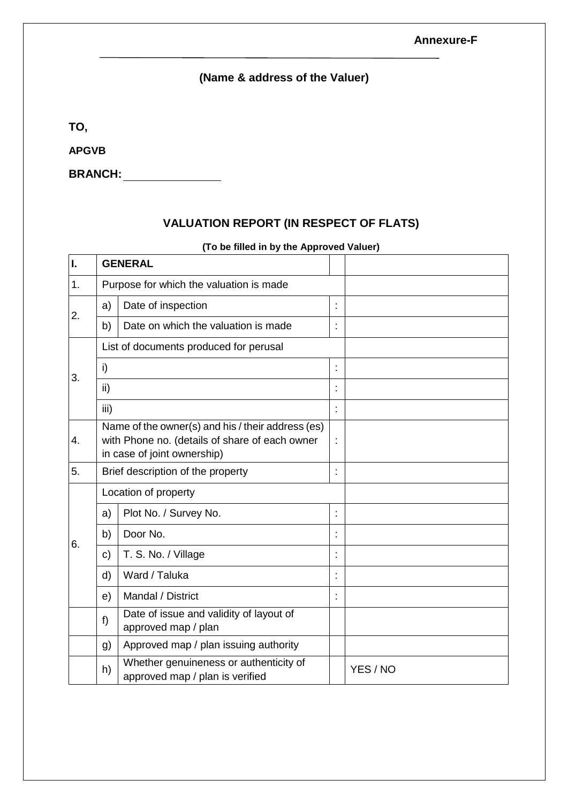## **Annexure-F**

## **(Name & address of the Valuer)**

**TO,**

**APGVB**

**BRANCH:**

## **VALUATION REPORT (IN RESPECT OF FLATS)**

|    |                                                                                                                                    | (To be filled in by the Approved Valuer)                                  |   |          |
|----|------------------------------------------------------------------------------------------------------------------------------------|---------------------------------------------------------------------------|---|----------|
| I. | <b>GENERAL</b>                                                                                                                     |                                                                           |   |          |
| 1. | Purpose for which the valuation is made                                                                                            |                                                                           |   |          |
|    | a)                                                                                                                                 | Date of inspection                                                        |   |          |
| 2. | b)<br>Date on which the valuation is made                                                                                          |                                                                           |   |          |
|    |                                                                                                                                    | List of documents produced for perusal                                    |   |          |
|    | i)                                                                                                                                 |                                                                           | İ |          |
| 3. | ii)                                                                                                                                |                                                                           |   |          |
|    | iii)                                                                                                                               |                                                                           |   |          |
| 4. | Name of the owner(s) and his / their address (es)<br>with Phone no. (details of share of each owner<br>in case of joint ownership) |                                                                           |   |          |
| 5. |                                                                                                                                    | Brief description of the property                                         |   |          |
|    | Location of property                                                                                                               |                                                                           |   |          |
|    | a)                                                                                                                                 | Plot No. / Survey No.                                                     | Ì |          |
| 6. | b)                                                                                                                                 | Door No.                                                                  |   |          |
|    | $\mathbf{C}$                                                                                                                       | T. S. No. / Village                                                       |   |          |
|    | d)                                                                                                                                 | Ward / Taluka                                                             |   |          |
|    | e)                                                                                                                                 | Mandal / District                                                         |   |          |
|    | f)                                                                                                                                 | Date of issue and validity of layout of<br>approved map / plan            |   |          |
|    | g)                                                                                                                                 | Approved map / plan issuing authority                                     |   |          |
|    | h)                                                                                                                                 | Whether genuineness or authenticity of<br>approved map / plan is verified |   | YES / NO |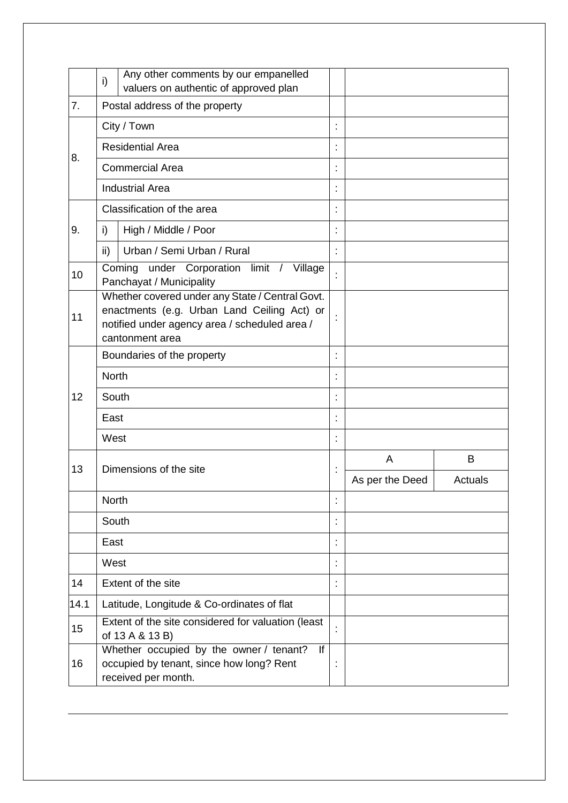|      | i)                                                                                                                                                                 | Any other comments by our empanelled<br>valuers on authentic of approved plan |                 |         |
|------|--------------------------------------------------------------------------------------------------------------------------------------------------------------------|-------------------------------------------------------------------------------|-----------------|---------|
| 7.   | Postal address of the property                                                                                                                                     |                                                                               |                 |         |
|      |                                                                                                                                                                    | City / Town                                                                   |                 |         |
|      |                                                                                                                                                                    | <b>Residential Area</b>                                                       |                 |         |
| 8.   |                                                                                                                                                                    | <b>Commercial Area</b>                                                        |                 |         |
|      |                                                                                                                                                                    | <b>Industrial Area</b>                                                        |                 |         |
|      |                                                                                                                                                                    | Classification of the area                                                    |                 |         |
| 9.   | i)                                                                                                                                                                 | High / Middle / Poor                                                          |                 |         |
|      | ii)                                                                                                                                                                | Urban / Semi Urban / Rural                                                    |                 |         |
| 10   |                                                                                                                                                                    | under Corporation limit /<br>Coming<br>Village<br>Panchayat / Municipality    |                 |         |
| 11   | Whether covered under any State / Central Govt.<br>enactments (e.g. Urban Land Ceiling Act) or<br>notified under agency area / scheduled area /<br>cantonment area |                                                                               |                 |         |
|      | Boundaries of the property                                                                                                                                         |                                                                               |                 |         |
|      | <b>North</b>                                                                                                                                                       |                                                                               |                 |         |
| 12   | South                                                                                                                                                              |                                                                               |                 |         |
|      | East                                                                                                                                                               |                                                                               |                 |         |
|      | West                                                                                                                                                               |                                                                               |                 |         |
| 13   |                                                                                                                                                                    | Dimensions of the site                                                        | A               | B       |
|      |                                                                                                                                                                    |                                                                               | As per the Deed | Actuals |
|      | North                                                                                                                                                              |                                                                               |                 |         |
|      | South                                                                                                                                                              |                                                                               |                 |         |
|      | East                                                                                                                                                               |                                                                               |                 |         |
|      | West                                                                                                                                                               |                                                                               |                 |         |
| 14   |                                                                                                                                                                    | Extent of the site                                                            |                 |         |
| 14.1 |                                                                                                                                                                    | Latitude, Longitude & Co-ordinates of flat                                    |                 |         |
| 15   | Extent of the site considered for valuation (least<br>of 13 A & 13 B)                                                                                              |                                                                               |                 |         |
| 16   | Whether occupied by the owner / tenant?<br>If<br>occupied by tenant, since how long? Rent<br>received per month.                                                   |                                                                               |                 |         |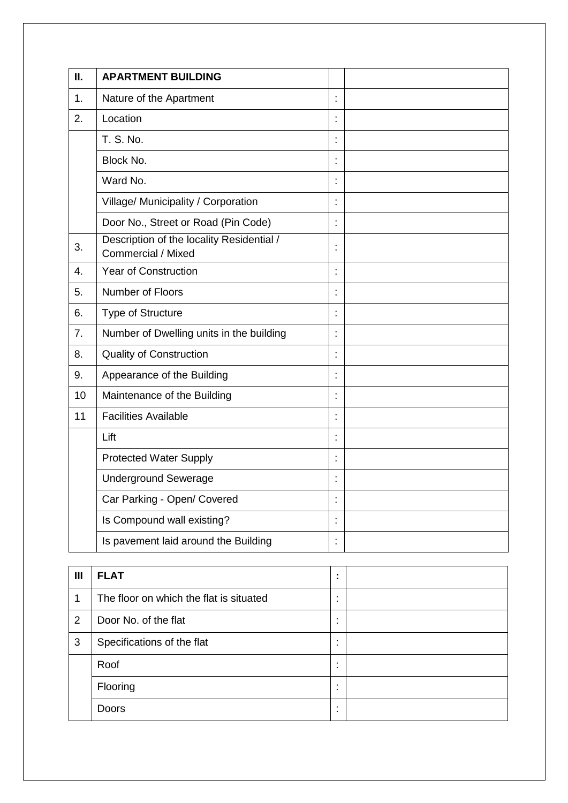| Ш.               | <b>APARTMENT BUILDING</b>                                       |                      |  |
|------------------|-----------------------------------------------------------------|----------------------|--|
| $\mathbf{1}$ .   | Nature of the Apartment                                         |                      |  |
| 2.               | Location                                                        |                      |  |
|                  | T. S. No.                                                       |                      |  |
|                  | Block No.                                                       | ċ                    |  |
|                  | Ward No.                                                        |                      |  |
|                  | Village/ Municipality / Corporation                             |                      |  |
|                  | Door No., Street or Road (Pin Code)                             |                      |  |
| 3.               | Description of the locality Residential /<br>Commercial / Mixed | $\ddot{\phantom{a}}$ |  |
| 4.               | <b>Year of Construction</b>                                     |                      |  |
| 5.               | Number of Floors                                                | Ì                    |  |
| 6.               | Type of Structure                                               |                      |  |
| $\overline{7}$ . | Number of Dwelling units in the building                        | ł,                   |  |
| 8.               | <b>Quality of Construction</b>                                  |                      |  |
| 9.               | Appearance of the Building                                      |                      |  |
| 10               | Maintenance of the Building                                     |                      |  |
| 11               | <b>Facilities Available</b>                                     |                      |  |
|                  | Lift                                                            |                      |  |
|                  | <b>Protected Water Supply</b>                                   | Ì                    |  |
|                  | <b>Underground Sewerage</b>                                     |                      |  |
|                  | Car Parking - Open/ Covered                                     |                      |  |
|                  | Is Compound wall existing?                                      |                      |  |
|                  | Is pavement laid around the Building                            |                      |  |

| $\mathbf{III}$ | <b>FLAT</b>                             | $\blacksquare$                             |  |
|----------------|-----------------------------------------|--------------------------------------------|--|
| 1              | The floor on which the flat is situated | $\overline{\phantom{a}}$<br>$\blacksquare$ |  |
| 2              | Door No. of the flat                    | $\overline{\phantom{a}}$<br>$\blacksquare$ |  |
| 3              | Specifications of the flat              | $\blacksquare$<br>$\blacksquare$           |  |
|                | Roof                                    | $\blacksquare$                             |  |
|                | Flooring                                | $\overline{\phantom{a}}$                   |  |
|                | <b>Doors</b>                            | $\overline{\phantom{a}}$                   |  |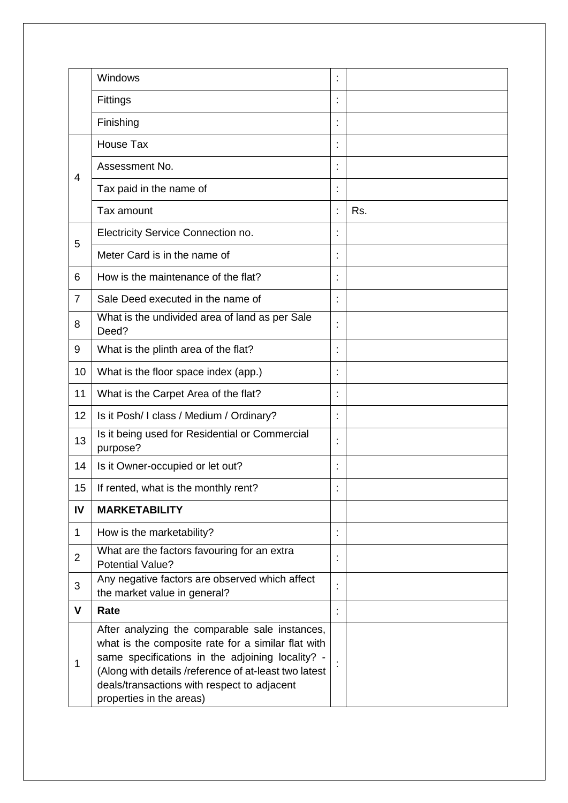|                | Windows                                                                                                                                                                                                                                                                                      |     |
|----------------|----------------------------------------------------------------------------------------------------------------------------------------------------------------------------------------------------------------------------------------------------------------------------------------------|-----|
|                | Fittings                                                                                                                                                                                                                                                                                     |     |
|                | Finishing                                                                                                                                                                                                                                                                                    |     |
|                | House Tax                                                                                                                                                                                                                                                                                    |     |
|                | Assessment No.                                                                                                                                                                                                                                                                               |     |
| $\overline{4}$ | Tax paid in the name of                                                                                                                                                                                                                                                                      |     |
|                | Tax amount                                                                                                                                                                                                                                                                                   | Rs. |
|                | Electricity Service Connection no.                                                                                                                                                                                                                                                           |     |
| 5              | Meter Card is in the name of                                                                                                                                                                                                                                                                 |     |
| 6              | How is the maintenance of the flat?                                                                                                                                                                                                                                                          |     |
| $\overline{7}$ | Sale Deed executed in the name of                                                                                                                                                                                                                                                            |     |
|                | What is the undivided area of land as per Sale                                                                                                                                                                                                                                               |     |
| 8              | Deed?                                                                                                                                                                                                                                                                                        |     |
| 9              | What is the plinth area of the flat?                                                                                                                                                                                                                                                         |     |
| 10             | What is the floor space index (app.)                                                                                                                                                                                                                                                         |     |
| 11             | What is the Carpet Area of the flat?                                                                                                                                                                                                                                                         |     |
| 12             | Is it Posh/ I class / Medium / Ordinary?                                                                                                                                                                                                                                                     |     |
| 13             | Is it being used for Residential or Commercial<br>purpose?                                                                                                                                                                                                                                   |     |
| 14             | Is it Owner-occupied or let out?                                                                                                                                                                                                                                                             |     |
| 15             | If rented, what is the monthly rent?                                                                                                                                                                                                                                                         |     |
| IV             | <b>MARKETABILITY</b>                                                                                                                                                                                                                                                                         |     |
| 1              | How is the marketability?                                                                                                                                                                                                                                                                    |     |
| $\overline{2}$ | What are the factors favouring for an extra<br><b>Potential Value?</b>                                                                                                                                                                                                                       |     |
| 3              | Any negative factors are observed which affect<br>the market value in general?                                                                                                                                                                                                               |     |
| $\mathbf{V}$   | Rate                                                                                                                                                                                                                                                                                         |     |
| 1              | After analyzing the comparable sale instances,<br>what is the composite rate for a similar flat with<br>same specifications in the adjoining locality? -<br>(Along with details /reference of at-least two latest<br>deals/transactions with respect to adjacent<br>properties in the areas) |     |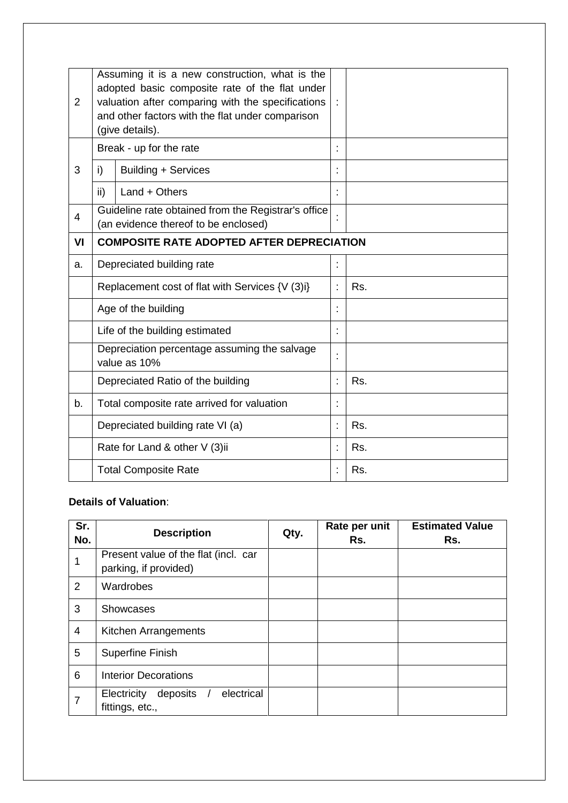| $\overline{2}$ | Assuming it is a new construction, what is the<br>adopted basic composite rate of the flat under<br>valuation after comparing with the specifications<br>and other factors with the flat under comparison<br>(give details). |                                                                                             |    |     |
|----------------|------------------------------------------------------------------------------------------------------------------------------------------------------------------------------------------------------------------------------|---------------------------------------------------------------------------------------------|----|-----|
|                |                                                                                                                                                                                                                              | Break - up for the rate                                                                     |    |     |
| 3              | i)                                                                                                                                                                                                                           | Building + Services                                                                         |    |     |
|                | ii)                                                                                                                                                                                                                          | $Land + Others$                                                                             |    |     |
| $\overline{4}$ |                                                                                                                                                                                                                              | Guideline rate obtained from the Registrar's office<br>(an evidence thereof to be enclosed) |    |     |
| VI             | <b>COMPOSITE RATE ADOPTED AFTER DEPRECIATION</b>                                                                                                                                                                             |                                                                                             |    |     |
| a.             | Depreciated building rate                                                                                                                                                                                                    |                                                                                             | İ  |     |
|                | Replacement cost of flat with Services {V (3)i}                                                                                                                                                                              |                                                                                             | t  | Rs. |
|                | Age of the building                                                                                                                                                                                                          |                                                                                             | Ì. |     |
|                | Life of the building estimated                                                                                                                                                                                               |                                                                                             | t  |     |
|                | Depreciation percentage assuming the salvage<br>value as 10%                                                                                                                                                                 |                                                                                             |    |     |
|                | Depreciated Ratio of the building                                                                                                                                                                                            |                                                                                             | t  | Rs. |
| b.             | Total composite rate arrived for valuation                                                                                                                                                                                   |                                                                                             | t  |     |
|                | Depreciated building rate VI (a)                                                                                                                                                                                             |                                                                                             | t  | Rs. |
|                | Rate for Land & other V (3)ii                                                                                                                                                                                                |                                                                                             | t  | Rs. |
|                | <b>Total Composite Rate</b>                                                                                                                                                                                                  |                                                                                             |    | Rs. |

## **Details of Valuation**:

| Sr.<br>No. | <b>Description</b>                                            | Qty. | Rate per unit<br>Rs. | <b>Estimated Value</b><br>Rs. |
|------------|---------------------------------------------------------------|------|----------------------|-------------------------------|
| 1          | Present value of the flat (incl. car<br>parking, if provided) |      |                      |                               |
| 2          | Wardrobes                                                     |      |                      |                               |
| 3          | <b>Showcases</b>                                              |      |                      |                               |
| 4          | Kitchen Arrangements                                          |      |                      |                               |
| 5          | <b>Superfine Finish</b>                                       |      |                      |                               |
| 6          | <b>Interior Decorations</b>                                   |      |                      |                               |
| 7          | electrical<br>Electricity<br>deposits<br>fittings, etc.,      |      |                      |                               |